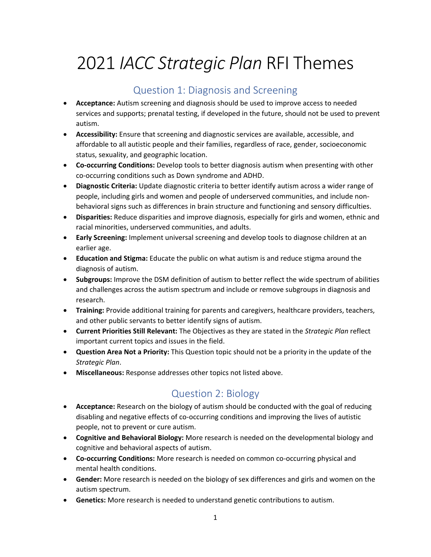# 2021 *IACC Strategic Plan* RFI Themes

#### Question 1: Diagnosis and Screening

- **Acceptance:** Autism screening and diagnosis should be used to improve access to needed services and supports; prenatal testing, if developed in the future, should not be used to prevent autism.
- **Accessibility:** Ensure that screening and diagnostic services are available, accessible, and affordable to all autistic people and their families, regardless of race, gender, socioeconomic status, sexuality, and geographic location.
- **Co-occurring Conditions:** Develop tools to better diagnosis autism when presenting with other co-occurring conditions such as Down syndrome and ADHD.
- **Diagnostic Criteria:** Update diagnostic criteria to better identify autism across a wider range of people, including girls and women and people of underserved communities, and include nonbehavioral signs such as differences in brain structure and functioning and sensory difficulties.
- **Disparities:** Reduce disparities and improve diagnosis, especially for girls and women, ethnic and racial minorities, underserved communities, and adults.
- **Early Screening:** Implement universal screening and develop tools to diagnose children at an earlier age.
- **Education and Stigma:** Educate the public on what autism is and reduce stigma around the diagnosis of autism.
- **Subgroups:** Improve the DSM definition of autism to better reflect the wide spectrum of abilities and challenges across the autism spectrum and include or remove subgroups in diagnosis and research.
- **Training:** Provide additional training for parents and caregivers, healthcare providers, teachers, and other public servants to better identify signs of autism.
- **Current Priorities Still Relevant:** The Objectives as they are stated in the *Strategic Plan* reflect important current topics and issues in the field.
- **Question Area Not a Priority:** This Question topic should not be a priority in the update of the *Strategic Plan*.
- **Miscellaneous:** Response addresses other topics not listed above.

## Question 2: Biology

- **Acceptance:** Research on the biology of autism should be conducted with the goal of reducing disabling and negative effects of co-occurring conditions and improving the lives of autistic people, not to prevent or cure autism.
- **Cognitive and Behavioral Biology:** More research is needed on the developmental biology and cognitive and behavioral aspects of autism.
- **Co-occurring Conditions:** More research is needed on common co-occurring physical and mental health conditions.
- **Gender:** More research is needed on the biology of sex differences and girls and women on the autism spectrum.
- **Genetics:** More research is needed to understand genetic contributions to autism.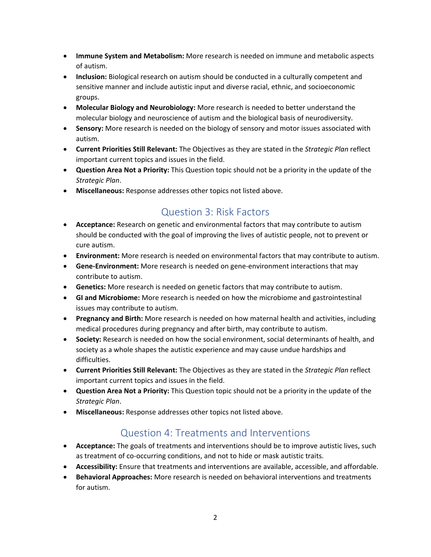- **Immune System and Metabolism:** More research is needed on immune and metabolic aspects of autism.
- **Inclusion:** Biological research on autism should be conducted in a culturally competent and sensitive manner and include autistic input and diverse racial, ethnic, and socioeconomic groups.
- **Molecular Biology and Neurobiology:** More research is needed to better understand the molecular biology and neuroscience of autism and the biological basis of neurodiversity.
- **Sensory:** More research is needed on the biology of sensory and motor issues associated with autism.
- **Current Priorities Still Relevant:** The Objectives as they are stated in the *Strategic Plan* reflect important current topics and issues in the field.
- **Question Area Not a Priority:** This Question topic should not be a priority in the update of the *Strategic Plan*.
- **Miscellaneous:** Response addresses other topics not listed above.

## Question 3: Risk Factors

- **Acceptance:** Research on genetic and environmental factors that may contribute to autism should be conducted with the goal of improving the lives of autistic people, not to prevent or cure autism.
- **Environment:** More research is needed on environmental factors that may contribute to autism.
- **Gene-Environment:** More research is needed on gene-environment interactions that may contribute to autism.
- **Genetics:** More research is needed on genetic factors that may contribute to autism.
- **GI and Microbiome:** More research is needed on how the microbiome and gastrointestinal issues may contribute to autism.
- **Pregnancy and Birth:** More research is needed on how maternal health and activities, including medical procedures during pregnancy and after birth, may contribute to autism.
- **Society:** Research is needed on how the social environment, social determinants of health, and society as a whole shapes the autistic experience and may cause undue hardships and difficulties.
- **Current Priorities Still Relevant:** The Objectives as they are stated in the *Strategic Plan* reflect important current topics and issues in the field.
- **Question Area Not a Priority:** This Question topic should not be a priority in the update of the *Strategic Plan*.
- **Miscellaneous:** Response addresses other topics not listed above.

#### Question 4: Treatments and Interventions

- **Acceptance:** The goals of treatments and interventions should be to improve autistic lives, such as treatment of co-occurring conditions, and not to hide or mask autistic traits.
- **Accessibility:** Ensure that treatments and interventions are available, accessible, and affordable.
- **Behavioral Approaches:** More research is needed on behavioral interventions and treatments for autism.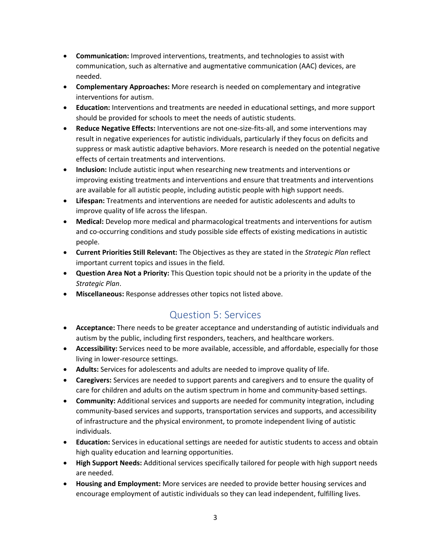- **Communication:** Improved interventions, treatments, and technologies to assist with communication, such as alternative and augmentative communication (AAC) devices, are needed.
- **Complementary Approaches:** More research is needed on complementary and integrative interventions for autism.
- **Education:** Interventions and treatments are needed in educational settings, and more support should be provided for schools to meet the needs of autistic students.
- **Reduce Negative Effects:** Interventions are not one-size-fits-all, and some interventions may result in negative experiences for autistic individuals, particularly if they focus on deficits and suppress or mask autistic adaptive behaviors. More research is needed on the potential negative effects of certain treatments and interventions.
- **Inclusion:** Include autistic input when researching new treatments and interventions or improving existing treatments and interventions and ensure that treatments and interventions are available for all autistic people, including autistic people with high support needs.
- **Lifespan:** Treatments and interventions are needed for autistic adolescents and adults to improve quality of life across the lifespan.
- **Medical:** Develop more medical and pharmacological treatments and interventions for autism and co-occurring conditions and study possible side effects of existing medications in autistic people.
- **Current Priorities Still Relevant:** The Objectives as they are stated in the *Strategic Plan* reflect important current topics and issues in the field.
- **Question Area Not a Priority:** This Question topic should not be a priority in the update of the *Strategic Plan*.
- **Miscellaneous:** Response addresses other topics not listed above.

#### Question 5: Services

- **Acceptance:** There needs to be greater acceptance and understanding of autistic individuals and autism by the public, including first responders, teachers, and healthcare workers.
- **Accessibility:** Services need to be more available, accessible, and affordable, especially for those living in lower-resource settings.
- **Adults:** Services for adolescents and adults are needed to improve quality of life.
- **Caregivers:** Services are needed to support parents and caregivers and to ensure the quality of care for children and adults on the autism spectrum in home and community-based settings.
- **Community:** Additional services and supports are needed for community integration, including community-based services and supports, transportation services and supports, and accessibility of infrastructure and the physical environment, to promote independent living of autistic individuals.
- **Education:** Services in educational settings are needed for autistic students to access and obtain high quality education and learning opportunities.
- **High Support Needs:** Additional services specifically tailored for people with high support needs are needed.
- **Housing and Employment:** More services are needed to provide better housing services and encourage employment of autistic individuals so they can lead independent, fulfilling lives.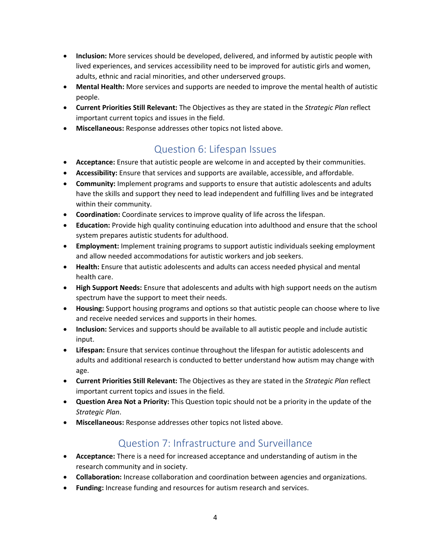- **Inclusion:** More services should be developed, delivered, and informed by autistic people with lived experiences, and services accessibility need to be improved for autistic girls and women, adults, ethnic and racial minorities, and other underserved groups.
- **Mental Health:** More services and supports are needed to improve the mental health of autistic people.
- **Current Priorities Still Relevant:** The Objectives as they are stated in the *Strategic Plan* reflect important current topics and issues in the field.
- **Miscellaneous:** Response addresses other topics not listed above.

#### Question 6: Lifespan Issues

- **Acceptance:** Ensure that autistic people are welcome in and accepted by their communities.
- **Accessibility:** Ensure that services and supports are available, accessible, and affordable.
- **Community:** Implement programs and supports to ensure that autistic adolescents and adults have the skills and support they need to lead independent and fulfilling lives and be integrated within their community.
- **Coordination:** Coordinate services to improve quality of life across the lifespan.
- **Education:** Provide high quality continuing education into adulthood and ensure that the school system prepares autistic students for adulthood.
- **Employment:** Implement training programs to support autistic individuals seeking employment and allow needed accommodations for autistic workers and job seekers.
- **Health:** Ensure that autistic adolescents and adults can access needed physical and mental health care.
- **High Support Needs:** Ensure that adolescents and adults with high support needs on the autism spectrum have the support to meet their needs.
- **Housing:** Support housing programs and options so that autistic people can choose where to live and receive needed services and supports in their homes.
- **Inclusion:** Services and supports should be available to all autistic people and include autistic input.
- **Lifespan:** Ensure that services continue throughout the lifespan for autistic adolescents and adults and additional research is conducted to better understand how autism may change with age.
- **Current Priorities Still Relevant:** The Objectives as they are stated in the *Strategic Plan* reflect important current topics and issues in the field.
- **Question Area Not a Priority:** This Question topic should not be a priority in the update of the *Strategic Plan*.
- **Miscellaneous:** Response addresses other topics not listed above.

## Question 7: Infrastructure and Surveillance

- **Acceptance:** There is a need for increased acceptance and understanding of autism in the research community and in society.
- **Collaboration:** Increase collaboration and coordination between agencies and organizations.
- **Funding:** Increase funding and resources for autism research and services.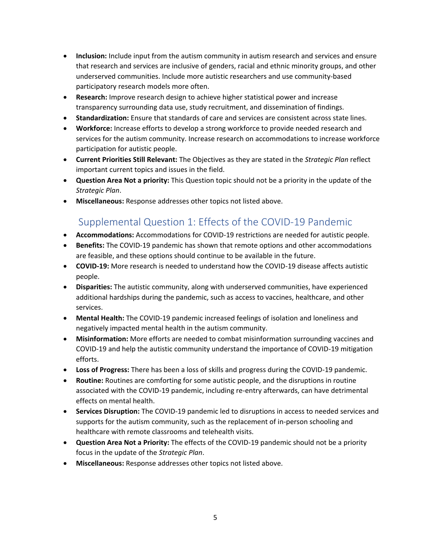- **Inclusion:** Include input from the autism community in autism research and services and ensure that research and services are inclusive of genders, racial and ethnic minority groups, and other underserved communities. Include more autistic researchers and use community-based participatory research models more often.
- **Research:** Improve research design to achieve higher statistical power and increase transparency surrounding data use, study recruitment, and dissemination of findings.
- **Standardization:** Ensure that standards of care and services are consistent across state lines.
- **Workforce:** Increase efforts to develop a strong workforce to provide needed research and services for the autism community. Increase research on accommodations to increase workforce participation for autistic people.
- **Current Priorities Still Relevant:** The Objectives as they are stated in the *Strategic Plan* reflect important current topics and issues in the field.
- **Question Area Not a priority:** This Question topic should not be a priority in the update of the *Strategic Plan*.
- **Miscellaneous:** Response addresses other topics not listed above.

# Supplemental Question 1: Effects of the COVID-19 Pandemic

- **Accommodations:** Accommodations for COVID-19 restrictions are needed for autistic people.
- **Benefits:** The COVID-19 pandemic has shown that remote options and other accommodations are feasible, and these options should continue to be available in the future.
- **COVID-19:** More research is needed to understand how the COVID-19 disease affects autistic people.
- **Disparities:** The autistic community, along with underserved communities, have experienced additional hardships during the pandemic, such as access to vaccines, healthcare, and other services.
- **Mental Health:** The COVID-19 pandemic increased feelings of isolation and loneliness and negatively impacted mental health in the autism community.
- **Misinformation:** More efforts are needed to combat misinformation surrounding vaccines and COVID-19 and help the autistic community understand the importance of COVID-19 mitigation efforts.
- **Loss of Progress:** There has been a loss of skills and progress during the COVID-19 pandemic.
- **Routine:** Routines are comforting for some autistic people, and the disruptions in routine associated with the COVID-19 pandemic, including re-entry afterwards, can have detrimental effects on mental health.
- **Services Disruption:** The COVID-19 pandemic led to disruptions in access to needed services and supports for the autism community, such as the replacement of in-person schooling and healthcare with remote classrooms and telehealth visits.
- **Question Area Not a Priority:** The effects of the COVID-19 pandemic should not be a priority focus in the update of the *Strategic Plan*.
- **Miscellaneous:** Response addresses other topics not listed above.